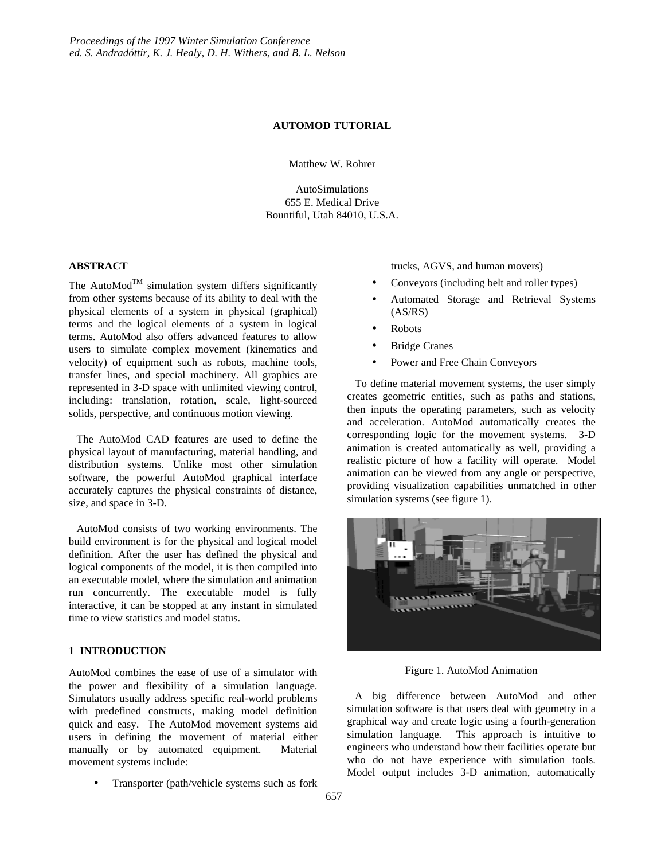#### **AUTOMOD TUTORIAL**

Matthew W. Rohrer

AutoSimulations 655 E. Medical Drive Bountiful, Utah 84010, U.S.A.

### **ABSTRACT**

The AutoMod<sup>TM</sup> simulation system differs significantly from other systems because of its ability to deal with the physical elements of a system in physical (graphical) terms and the logical elements of a system in logical terms. AutoMod also offers advanced features to allow users to simulate complex movement (kinematics and velocity) of equipment such as robots, machine tools, transfer lines, and special machinery. All graphics are represented in 3-D space with unlimited viewing control, including: translation, rotation, scale, light-sourced solids, perspective, and continuous motion viewing.

The AutoMod CAD features are used to define the physical layout of manufacturing, material handling, and distribution systems. Unlike most other simulation software, the powerful AutoMod graphical interface accurately captures the physical constraints of distance, size, and space in 3-D.

AutoMod consists of two working environments. The build environment is for the physical and logical model definition. After the user has defined the physical and logical components of the model, it is then compiled into an executable model, where the simulation and animation run concurrently. The executable model is fully interactive, it can be stopped at any instant in simulated time to view statistics and model status.

### **1 INTRODUCTION**

AutoMod combines the ease of use of a simulator with the power and flexibility of a simulation language. Simulators usually address specific real-world problems with predefined constructs, making model definition quick and easy. The AutoMod movement systems aid users in defining the movement of material either manually or by automated equipment. Material movement systems include:

• Transporter (path/vehicle systems such as fork

trucks, AGVS, and human movers)

- Conveyors (including belt and roller types)
- Automated Storage and Retrieval Systems (AS/RS)
- Robots
- **Bridge Cranes**
- Power and Free Chain Conveyors

To define material movement systems, the user simply creates geometric entities, such as paths and stations, then inputs the operating parameters, such as velocity and acceleration. AutoMod automatically creates the corresponding logic for the movement systems. 3-D animation is created automatically as well, providing a realistic picture of how a facility will operate. Model animation can be viewed from any angle or perspective, providing visualization capabilities unmatched in other simulation systems (see figure 1).



Figure 1. AutoMod Animation

A big difference between AutoMod and other simulation software is that users deal with geometry in a graphical way and create logic using a fourth-generation simulation language. This approach is intuitive to engineers who understand how their facilities operate but who do not have experience with simulation tools. Model output includes 3-D animation, automatically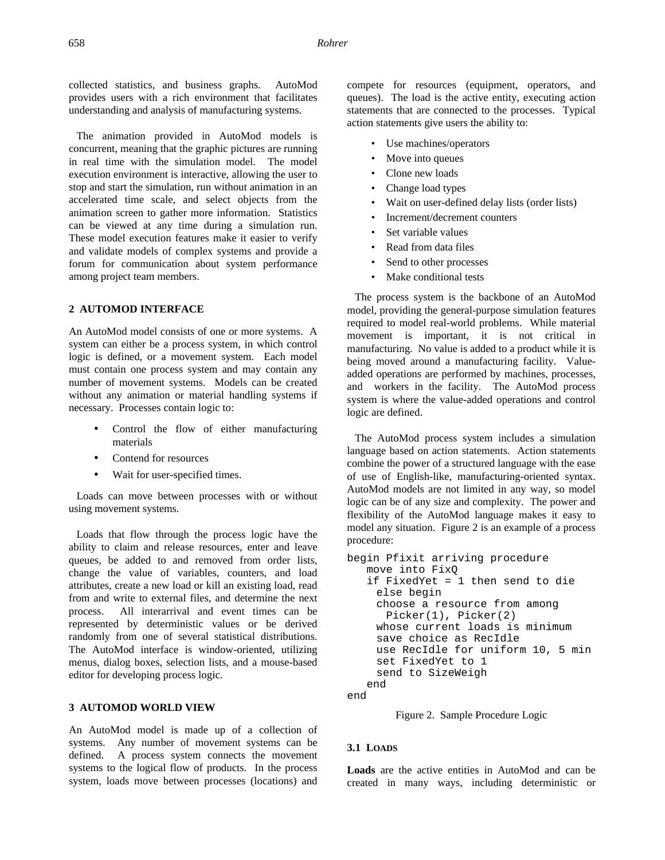collected statistics, and business graphs. AutoMod provides users with a rich environment that facilitates understanding and analysis of manufacturing systems.

The animation provided in AutoMod models is concurrent, meaning that the graphic pictures are running in real time with the simulation model. The model execution environment is interactive, allowing the user to stop and start the simulation, run without animation in an accelerated time scale, and select objects from the animation screen to gather more information. Statistics can be viewed at any time during a simulation run. These model execution features make it easier to verify and validate models of complex systems and provide a forum for communication about system performance among project team members.

# **2 AUTOMOD INTERFACE**

An AutoMod model consists of one or more systems. A system can either be a process system, in which control logic is defined, or a movement system. Each model must contain one process system and may contain any number of movement systems. Models can be created without any animation or material handling systems if necessary. Processes contain logic to:

- Control the flow of either manufacturing materials
- Contend for resources
- Wait for user-specified times.

Loads can move between processes with or without using movement systems.

Loads that flow through the process logic have the ability to claim and release resources, enter and leave queues, be added to and removed from order lists, change the value of variables, counters, and load attributes, create a new load or kill an existing load, read from and write to external files, and determine the next process. All interarrival and event times can be represented by deterministic values or be derived randomly from one of several statistical distributions. The AutoMod interface is window-oriented, utilizing menus, dialog boxes, selection lists, and a mouse-based editor for developing process logic.

## **3 AUTOMOD WORLD VIEW**

An AutoMod model is made up of a collection of systems. Any number of movement systems can be defined. A process system connects the movement systems to the logical flow of products. In the process system, loads move between processes (locations) and

compete for resources (equipment, operators, and queues). The load is the active entity, executing action statements that are connected to the processes. Typical action statements give users the ability to:

- Use machines/operators
- Move into queues
- Clone new loads
- Change load types
- Wait on user-defined delay lists (order lists)
- Increment/decrement counters
- Set variable values
- Read from data files
- Send to other processes
- Make conditional tests

The process system is the backbone of an AutoMod model, providing the general-purpose simulation features required to model real-world problems. While material movement is important, it is not critical in manufacturing. No value is added to a product while it is being moved around a manufacturing facility. Valueadded operations are performed by machines, processes, and workers in the facility. The AutoMod process system is where the value-added operations and control logic are defined.

The AutoMod process system includes a simulation language based on action statements. Action statements combine the power of a structured language with the ease of use of English-like, manufacturing-oriented syntax. AutoMod models are not limited in any way, so model logic can be of any size and complexity. The power and flexibility of the AutoMod language makes it easy to model any situation. Figure 2 is an example of a process procedure:

```
begin Pfixit arriving procedure
   move into FixQ
   if FixedYet = 1 then send to die
    else begin
    choose a resource from among 
      Picker(1), Picker(2)
    whose current loads is minimum
    save choice as RecIdle
    use RecIdle for uniform 10, 5 min
    set FixedYet to 1
    send to SizeWeigh
   end
end
```
Figure 2. Sample Procedure Logic

## **3.1 LOADS**

**Loads** are the active entities in AutoMod and can be created in many ways, including deterministic or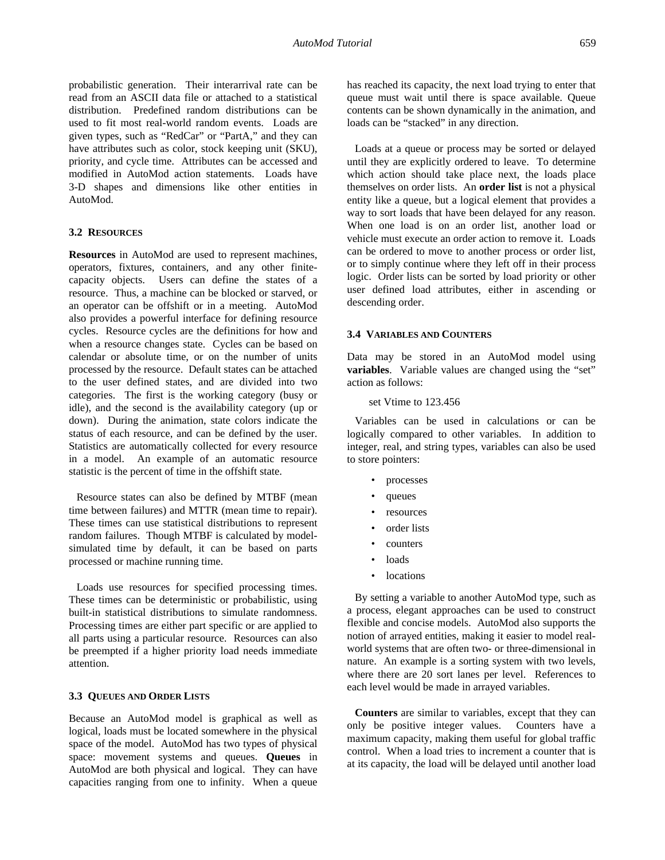probabilistic generation. Their interarrival rate can be read from an ASCII data file or attached to a statistical distribution. Predefined random distributions can be used to fit most real-world random events. Loads are given types, such as "RedCar" or "PartA," and they can have attributes such as color, stock keeping unit (SKU), priority, and cycle time. Attributes can be accessed and modified in AutoMod action statements. Loads have 3-D shapes and dimensions like other entities in AutoMod.

# **3.2 RESOURCES**

**Resources** in AutoMod are used to represent machines, operators, fixtures, containers, and any other finitecapacity objects. Users can define the states of a resource. Thus, a machine can be blocked or starved, or an operator can be offshift or in a meeting. AutoMod also provides a powerful interface for defining resource cycles. Resource cycles are the definitions for how and when a resource changes state. Cycles can be based on calendar or absolute time, or on the number of units processed by the resource. Default states can be attached to the user defined states, and are divided into two categories. The first is the working category (busy or idle), and the second is the availability category (up or down). During the animation, state colors indicate the status of each resource, and can be defined by the user. Statistics are automatically collected for every resource in a model. An example of an automatic resource statistic is the percent of time in the offshift state.

Resource states can also be defined by MTBF (mean time between failures) and MTTR (mean time to repair). These times can use statistical distributions to represent random failures. Though MTBF is calculated by modelsimulated time by default, it can be based on parts processed or machine running time.

Loads use resources for specified processing times. These times can be deterministic or probabilistic, using built-in statistical distributions to simulate randomness. Processing times are either part specific or are applied to all parts using a particular resource. Resources can also be preempted if a higher priority load needs immediate attention.

#### **3.3 QUEUES AND ORDER LISTS**

Because an AutoMod model is graphical as well as logical, loads must be located somewhere in the physical space of the model. AutoMod has two types of physical space: movement systems and queues. **Queues** in AutoMod are both physical and logical. They can have capacities ranging from one to infinity. When a queue

has reached its capacity, the next load trying to enter that queue must wait until there is space available. Queue contents can be shown dynamically in the animation, and loads can be "stacked" in any direction.

Loads at a queue or process may be sorted or delayed until they are explicitly ordered to leave. To determine which action should take place next, the loads place themselves on order lists. An **order list** is not a physical entity like a queue, but a logical element that provides a way to sort loads that have been delayed for any reason. When one load is on an order list, another load or vehicle must execute an order action to remove it. Loads can be ordered to move to another process or order list, or to simply continue where they left off in their process logic. Order lists can be sorted by load priority or other user defined load attributes, either in ascending or descending order.

#### **3.4 VARIABLES AND COUNTERS**

Data may be stored in an AutoMod model using **variables**. Variable values are changed using the "set" action as follows:

### set Vtime to 123.456

Variables can be used in calculations or can be logically compared to other variables. In addition to integer, real, and string types, variables can also be used to store pointers:

- processes
- queues
- resources
- order lists
- counters
- loads
- **locations**

By setting a variable to another AutoMod type, such as a process, elegant approaches can be used to construct flexible and concise models. AutoMod also supports the notion of arrayed entities, making it easier to model realworld systems that are often two- or three-dimensional in nature. An example is a sorting system with two levels, where there are 20 sort lanes per level. References to each level would be made in arrayed variables.

**Counters** are similar to variables, except that they can only be positive integer values. Counters have a maximum capacity, making them useful for global traffic control. When a load tries to increment a counter that is at its capacity, the load will be delayed until another load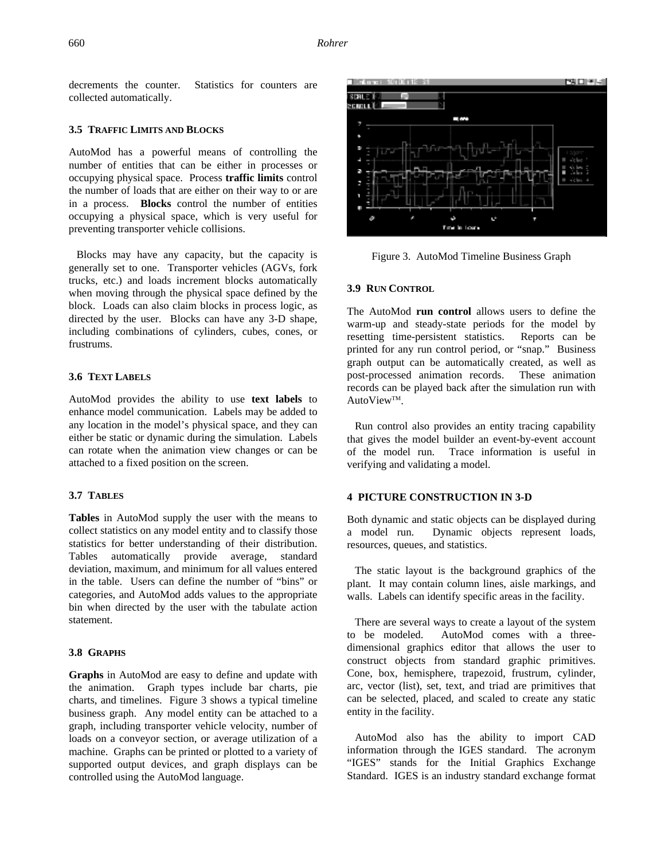decrements the counter. Statistics for counters are collected automatically.

#### **3.5 TRAFFIC LIMITS AND BLOCKS**

AutoMod has a powerful means of controlling the number of entities that can be either in processes or occupying physical space. Process **traffic limits** control the number of loads that are either on their way to or are in a process. **Blocks** control the number of entities occupying a physical space, which is very useful for preventing transporter vehicle collisions.

Blocks may have any capacity, but the capacity is generally set to one. Transporter vehicles (AGVs, fork trucks, etc.) and loads increment blocks automatically when moving through the physical space defined by the block. Loads can also claim blocks in process logic, as directed by the user. Blocks can have any 3-D shape, including combinations of cylinders, cubes, cones, or frustrums.

# **3.6 TEXT LABELS**

AutoMod provides the ability to use **text labels** to enhance model communication. Labels may be added to any location in the model's physical space, and they can either be static or dynamic during the simulation. Labels can rotate when the animation view changes or can be attached to a fixed position on the screen.

# **3.7 TABLES**

**Tables** in AutoMod supply the user with the means to collect statistics on any model entity and to classify those statistics for better understanding of their distribution. Tables automatically provide average, standard deviation, maximum, and minimum for all values entered in the table. Users can define the number of "bins" or categories, and AutoMod adds values to the appropriate bin when directed by the user with the tabulate action statement.

#### **3.8 GRAPHS**

**Graphs** in AutoMod are easy to define and update with the animation. Graph types include bar charts, pie charts, and timelines. Figure 3 shows a typical timeline business graph. Any model entity can be attached to a graph, including transporter vehicle velocity, number of loads on a conveyor section, or average utilization of a machine. Graphs can be printed or plotted to a variety of supported output devices, and graph displays can be controlled using the AutoMod language.



Figure 3. AutoMod Timeline Business Graph

## **3.9 RUN CONTROL**

The AutoMod **run control** allows users to define the warm-up and steady-state periods for the model by resetting time-persistent statistics. Reports can be printed for any run control period, or "snap." Business graph output can be automatically created, as well as post-processed animation records. These animation records can be played back after the simulation run with AutoView™.

Run control also provides an entity tracing capability that gives the model builder an event-by-event account of the model run. Trace information is useful in verifying and validating a model.

### **4 PICTURE CONSTRUCTION IN 3-D**

Both dynamic and static objects can be displayed during a model run. Dynamic objects represent loads, resources, queues, and statistics.

The static layout is the background graphics of the plant. It may contain column lines, aisle markings, and walls. Labels can identify specific areas in the facility.

There are several ways to create a layout of the system to be modeled. AutoMod comes with a threedimensional graphics editor that allows the user to construct objects from standard graphic primitives. Cone, box, hemisphere, trapezoid, frustrum, cylinder, arc, vector (list), set, text, and triad are primitives that can be selected, placed, and scaled to create any static entity in the facility.

AutoMod also has the ability to import CAD information through the IGES standard. The acronym "IGES" stands for the Initial Graphics Exchange Standard. IGES is an industry standard exchange format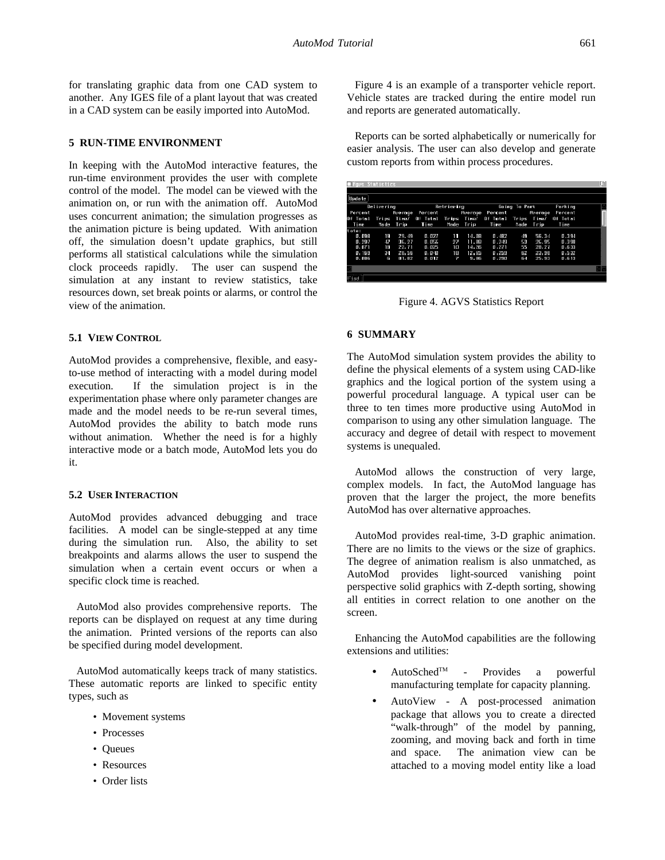for translating graphic data from one CAD system to another. Any IGES file of a plant layout that was created in a CAD system can be easily imported into AutoMod.

# **5 RUN-TIME ENVIRONMENT**

In keeping with the AutoMod interactive features, the run-time environment provides the user with complete control of the model. The model can be viewed with the animation on, or run with the animation off. AutoMod uses concurrent animation; the simulation progresses as the animation picture is being updated. With animation off, the simulation doesn't update graphics, but still performs all statistical calculations while the simulation clock proceeds rapidly. The user can suspend the simulation at any instant to review statistics, take resources down, set break points or alarms, or control the view of the animation.

# **5.1 VIEW CONTROL**

AutoMod provides a comprehensive, flexible, and easyto-use method of interacting with a model during model execution. If the simulation project is in the experimentation phase where only parameter changes are made and the model needs to be re-run several times, AutoMod provides the ability to batch mode runs without animation. Whether the need is for a highly interactive mode or a batch mode, AutoMod lets you do it.

# **5.2 USER INTERACTION**

AutoMod provides advanced debugging and trace facilities. A model can be single-stepped at any time during the simulation run. Also, the ability to set breakpoints and alarms allows the user to suspend the simulation when a certain event occurs or when a specific clock time is reached.

AutoMod also provides comprehensive reports. The reports can be displayed on request at any time during the animation. Printed versions of the reports can also be specified during model development.

AutoMod automatically keeps track of many statistics. These automatic reports are linked to specific entity types, such as

- Movement systems
- Processes
- Queues
- Resources
- Order lists

Figure 4 is an example of a transporter vehicle report. Vehicle states are tracked during the entire model run and reports are generated automatically.

Reports can be sorted alphabetically or numerically for easier analysis. The user can also develop and generate custom reports from within process procedures.

| ■ Amus Statistics |    |           |                                                                |            |                                                        |               |           |       |         | œ |
|-------------------|----|-----------|----------------------------------------------------------------|------------|--------------------------------------------------------|---------------|-----------|-------|---------|---|
| Update            |    |           |                                                                |            |                                                        |               |           |       |         |   |
| Delivering        |    |           |                                                                | Retrieving |                                                        | Going To Park |           |       | Parking |   |
| Percent           |    |           |                                                                |            | Riverage Percent . Riverage Percent . Riverage Percent |               |           |       |         |   |
| Of Total          |    |           | Trips Time/ Of Total Trips Time/ Of Total Trips Time/ Of Total |            |                                                        |               |           |       |         |   |
| Time              |    | Made Trip | Time                                                           |            | Made Trip                                              | Time          | Nade Trip |       | Time    |   |
| tate:             |    |           |                                                                |            |                                                        |               |           |       |         |   |
| 0.098             | Ħ  | 29.49     | 0.027                                                          | т          | 14.08                                                  | 0.482         | 43        | 56.34 | 0.394   |   |
| 0.297             | 47 | 36.27     | 0.056                                                          | 27         | 11.88                                                  | 0.249         | 53        | 26.95 | 0.398   |   |
| 0. OZ 1           | 18 | 22.71     | 0.025                                                          | חו         | 14, 26                                                 | 0.271         | 55        | 28.27 | 0.633   |   |
| 0.169             | 34 | 28,55     | 0.040                                                          | 18         | 12,85                                                  | 1.259         | 62        | 23,98 | 0.532   |   |
| 0.088             | E  | 81,82     | 0.012                                                          | P.         | 5,86                                                   | 0,290         | БĿ.       | 25,53 | 0.613   |   |
|                   |    |           |                                                                |            |                                                        |               |           |       |         |   |
| First             |    |           |                                                                |            |                                                        |               |           |       |         |   |

Figure 4. AGVS Statistics Report

# **6 SUMMARY**

The AutoMod simulation system provides the ability to define the physical elements of a system using CAD-like graphics and the logical portion of the system using a powerful procedural language. A typical user can be three to ten times more productive using AutoMod in comparison to using any other simulation language. The accuracy and degree of detail with respect to movement systems is unequaled.

AutoMod allows the construction of very large, complex models. In fact, the AutoMod language has proven that the larger the project, the more benefits AutoMod has over alternative approaches.

AutoMod provides real-time, 3-D graphic animation. There are no limits to the views or the size of graphics. The degree of animation realism is also unmatched, as AutoMod provides light-sourced vanishing point perspective solid graphics with Z-depth sorting, showing all entities in correct relation to one another on the screen.

Enhancing the AutoMod capabilities are the following extensions and utilities:

- AutoSchedTM Provides a powerful manufacturing template for capacity planning.
- AutoView A post-processed animation package that allows you to create a directed "walk-through" of the model by panning, zooming, and moving back and forth in time and space. The animation view can be attached to a moving model entity like a load